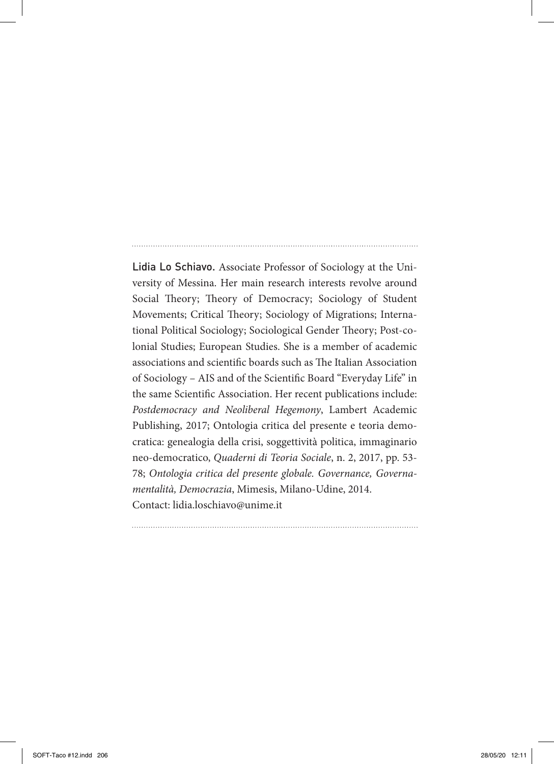Lidia Lo Schiavo. Associate Professor of Sociology at the University of Messina. Her main research interests revolve around Social Theory; Theory of Democracy; Sociology of Student Movements; Critical Theory; Sociology of Migrations; International Political Sociology; Sociological Gender Theory; Post-colonial Studies; European Studies. She is a member of academic associations and scientific boards such as The Italian Association of Sociology – AIS and of the Scientific Board "Everyday Life" in the same Scientific Association. Her recent publications include: *Postdemocracy and Neoliberal Hegemony*, Lambert Academic Publishing, 2017; Ontologia critica del presente e teoria democratica: genealogia della crisi, soggettività politica, immaginario neo-democratico, *Quaderni di Teoria Sociale*, n. 2, 2017, pp. 53- 78; *Ontologia critica del presente globale. Governance, Governamentalità, Democrazia*, Mimesis, Milano-Udine, 2014. Contact: lidia.loschiavo@unime.it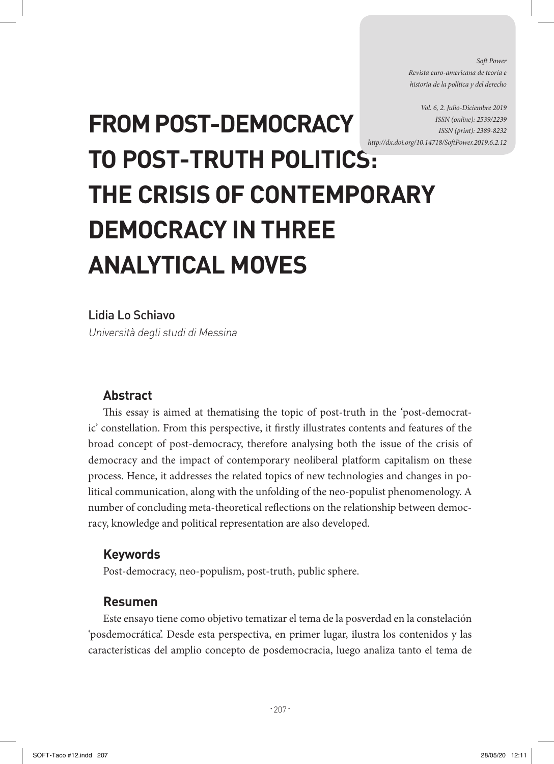*Soft Power Revista euro-americana de teoría e historia de la política y del derecho* 

*Vol. 6, 2. Julio-Diciembre 2019 ISSN (online): 2539/2239 ISSN (print): 2389-8232 http://dx.doi.org/10.14718/SoftPower.2019.6.2.12*

# **FROM POST-DEMOCRACY TO POST-TRUTH POLITICS: THE CRISIS OF CONTEMPORARY DEMOCRACY IN THREE ANALYTICAL MOVES**

## Lidia Lo Schiavo

Università degli studi di Messina

#### **Abstract**

This essay is aimed at thematising the topic of post-truth in the 'post-democratic' constellation. From this perspective, it firstly illustrates contents and features of the broad concept of post-democracy, therefore analysing both the issue of the crisis of democracy and the impact of contemporary neoliberal platform capitalism on these process. Hence, it addresses the related topics of new technologies and changes in political communication, along with the unfolding of the neo-populist phenomenology. A number of concluding meta-theoretical reflections on the relationship between democracy, knowledge and political representation are also developed.

#### **Keywords**

Post-democracy, neo-populism, post-truth, public sphere.

#### **Resumen**

Este ensayo tiene como objetivo tematizar el tema de la posverdad en la constelación 'posdemocrática'. Desde esta perspectiva, en primer lugar, ilustra los contenidos y las características del amplio concepto de posdemocracia, luego analiza tanto el tema de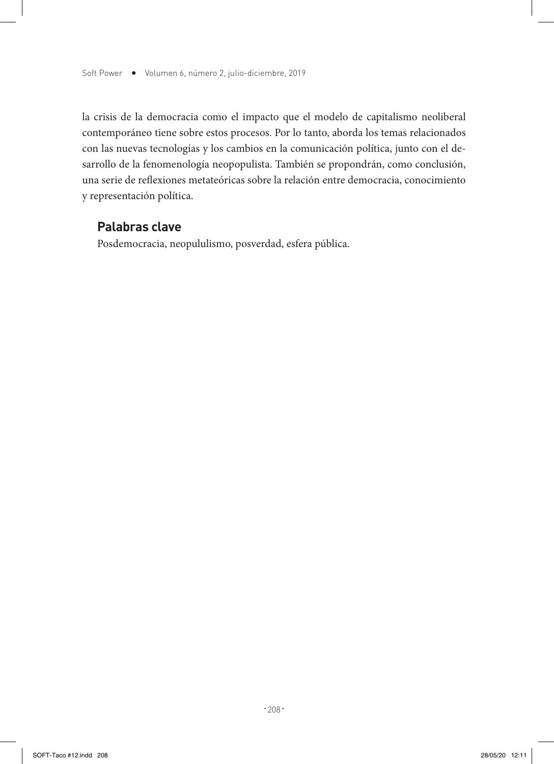la crisis de la democracia como el impacto que el modelo de capitalismo neoliberal contemporáneo tiene sobre estos procesos. Por lo tanto, aborda los temas relacionados con las nuevas tecnologías y los cambios en la comunicación política, junto con el desarrollo de la fenomenología neopopulista. También se propondrán, como conclusión, una serie de reflexiones metateóricas sobre la relación entre democracia, conocimiento y representación política.

#### **Palabras clave**

Posdemocracia, neopululismo, posverdad, esfera pública.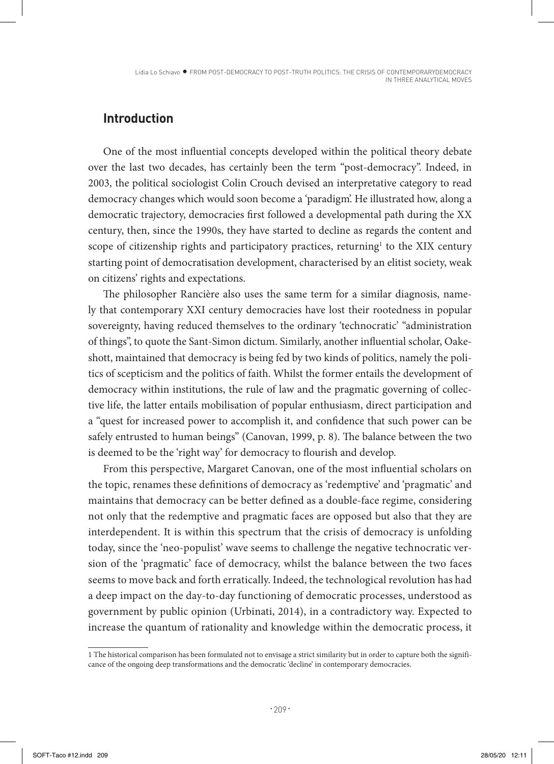Lidia Lo Schiavo · FROM POST-DEMOCRACY TO POST-TRUTH POLITICS: THE CRISIS OF CONTEMPORARYDEMOCRACY IN THREE ANALYTICAL MOVES

## **Introduction**

One of the most influential concepts developed within the political theory debate over the last two decades, has certainly been the term "post-democracy". Indeed, in 2003, the political sociologist Colin Crouch devised an interpretative category to read democracy changes which would soon become a 'paradigm'. He illustrated how, along a democratic trajectory, democracies first followed a developmental path during the XX century, then, since the 1990s, they have started to decline as regards the content and scope of citizenship rights and participatory practices, returning<sup>1</sup> to the XIX century starting point of democratisation development, characterised by an elitist society, weak on citizens' rights and expectations.

The philosopher Rancière also uses the same term for a similar diagnosis, namely that contemporary XXI century democracies have lost their rootedness in popular sovereignty, having reduced themselves to the ordinary 'technocratic' "administration of things", to quote the Sant-Simon dictum. Similarly, another influential scholar, Oakeshott, maintained that democracy is being fed by two kinds of politics, namely the politics of scepticism and the politics of faith. Whilst the former entails the development of democracy within institutions, the rule of law and the pragmatic governing of collective life, the latter entails mobilisation of popular enthusiasm, direct participation and a "quest for increased power to accomplish it, and confidence that such power can be safely entrusted to human beings" (Canovan, 1999, p. 8). The balance between the two is deemed to be the 'right way' for democracy to flourish and develop.

From this perspective, Margaret Canovan, one of the most influential scholars on the topic, renames these definitions of democracy as 'redemptive' and 'pragmatic' and maintains that democracy can be better defined as a double-face regime, considering not only that the redemptive and pragmatic faces are opposed but also that they are interdependent. It is within this spectrum that the crisis of democracy is unfolding today, since the 'neo-populist' wave seems to challenge the negative technocratic version of the 'pragmatic' face of democracy, whilst the balance between the two faces seems to move back and forth erratically. Indeed, the technological revolution has had a deep impact on the day-to-day functioning of democratic processes, understood as government by public opinion (Urbinati, 2014), in a contradictory way. Expected to increase the quantum of rationality and knowledge within the democratic process, it

<sup>1</sup> The historical comparison has been formulated not to envisage a strict similarity but in order to capture both the significance of the ongoing deep transformations and the democratic 'decline' in contemporary democracies.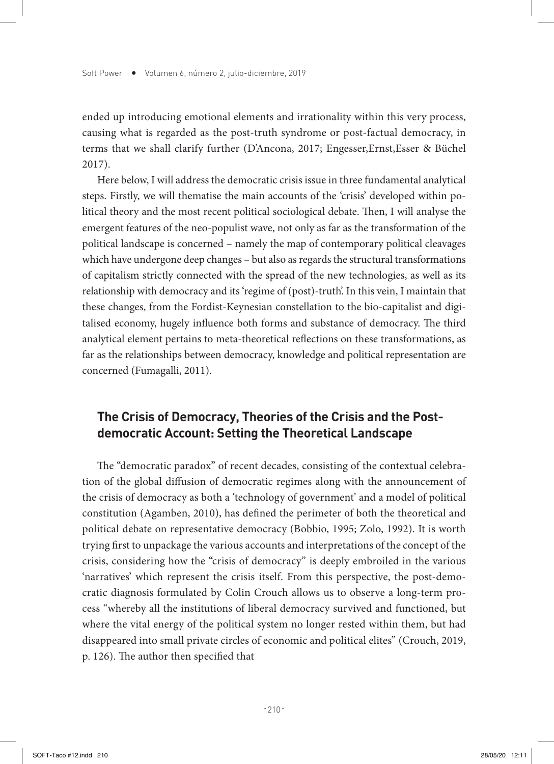ended up introducing emotional elements and irrationality within this very process, causing what is regarded as the post-truth syndrome or post-factual democracy, in terms that we shall clarify further (D'Ancona, 2017; Engesser,Ernst,Esser & Büchel 2017).

Here below, I will address the democratic crisis issue in three fundamental analytical steps. Firstly, we will thematise the main accounts of the 'crisis' developed within political theory and the most recent political sociological debate. Then, I will analyse the emergent features of the neo-populist wave, not only as far as the transformation of the political landscape is concerned – namely the map of contemporary political cleavages which have undergone deep changes – but also as regards the structural transformations of capitalism strictly connected with the spread of the new technologies, as well as its relationship with democracy and its 'regime of (post)-truth'. In this vein, I maintain that these changes, from the Fordist-Keynesian constellation to the bio-capitalist and digitalised economy, hugely influence both forms and substance of democracy. The third analytical element pertains to meta-theoretical reflections on these transformations, as far as the relationships between democracy, knowledge and political representation are concerned (Fumagalli, 2011).

# **The Crisis of Democracy, Theories of the Crisis and the Postdemocratic Account: Setting the Theoretical Landscape**

The "democratic paradox" of recent decades, consisting of the contextual celebration of the global diffusion of democratic regimes along with the announcement of the crisis of democracy as both a 'technology of government' and a model of political constitution (Agamben, 2010), has defined the perimeter of both the theoretical and political debate on representative democracy (Bobbio, 1995; Zolo, 1992). It is worth trying first to unpackage the various accounts and interpretations of the concept of the crisis, considering how the "crisis of democracy" is deeply embroiled in the various 'narratives' which represent the crisis itself. From this perspective, the post-democratic diagnosis formulated by Colin Crouch allows us to observe a long-term process "whereby all the institutions of liberal democracy survived and functioned, but where the vital energy of the political system no longer rested within them, but had disappeared into small private circles of economic and political elites" (Crouch, 2019, p. 126). The author then specified that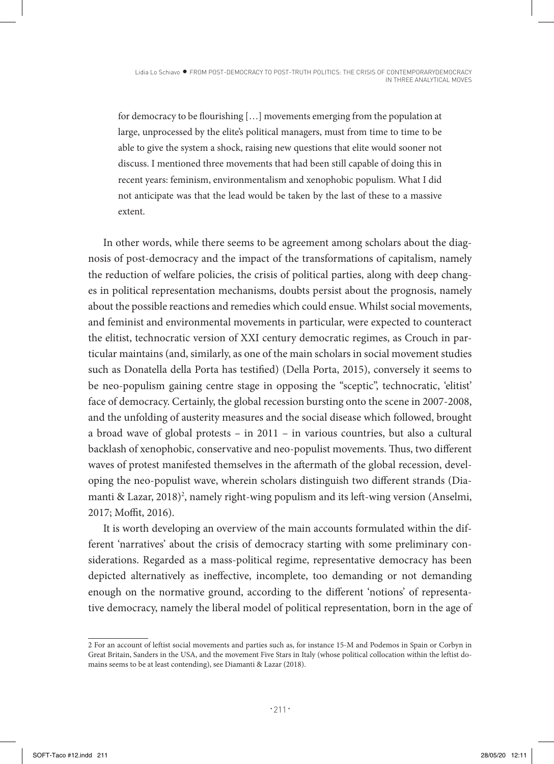for democracy to be flourishing […] movements emerging from the population at large, unprocessed by the elite's political managers, must from time to time to be able to give the system a shock, raising new questions that elite would sooner not discuss. I mentioned three movements that had been still capable of doing this in recent years: feminism, environmentalism and xenophobic populism. What I did not anticipate was that the lead would be taken by the last of these to a massive extent.

In other words, while there seems to be agreement among scholars about the diagnosis of post-democracy and the impact of the transformations of capitalism, namely the reduction of welfare policies, the crisis of political parties, along with deep changes in political representation mechanisms, doubts persist about the prognosis, namely about the possible reactions and remedies which could ensue. Whilst social movements, and feminist and environmental movements in particular, were expected to counteract the elitist, technocratic version of XXI century democratic regimes, as Crouch in particular maintains (and, similarly, as one of the main scholars in social movement studies such as Donatella della Porta has testified) (Della Porta, 2015), conversely it seems to be neo-populism gaining centre stage in opposing the "sceptic", technocratic, 'elitist' face of democracy. Certainly, the global recession bursting onto the scene in 2007-2008, and the unfolding of austerity measures and the social disease which followed, brought a broad wave of global protests – in 2011 – in various countries, but also a cultural backlash of xenophobic, conservative and neo-populist movements. Thus, two different waves of protest manifested themselves in the aftermath of the global recession, developing the neo-populist wave, wherein scholars distinguish two different strands (Diamanti & Lazar, 2018)<sup>2</sup>, namely right-wing populism and its left-wing version (Anselmi, 2017; Moffit, 2016).

It is worth developing an overview of the main accounts formulated within the different 'narratives' about the crisis of democracy starting with some preliminary considerations. Regarded as a mass-political regime, representative democracy has been depicted alternatively as ineffective, incomplete, too demanding or not demanding enough on the normative ground, according to the different 'notions' of representative democracy, namely the liberal model of political representation, born in the age of

<sup>2</sup> For an account of leftist social movements and parties such as, for instance 15-M and Podemos in Spain or Corbyn in Great Britain, Sanders in the USA, and the movement Five Stars in Italy (whose political collocation within the leftist domains seems to be at least contending), see Diamanti & Lazar (2018).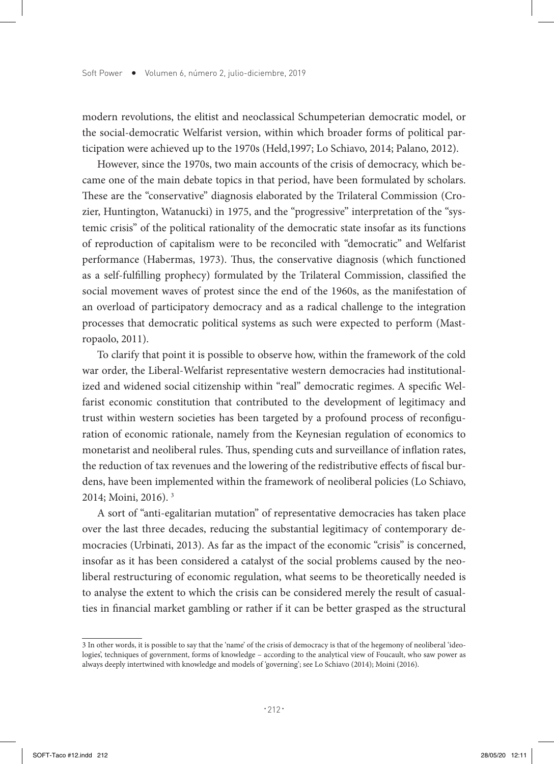modern revolutions, the elitist and neoclassical Schumpeterian democratic model, or the social-democratic Welfarist version, within which broader forms of political participation were achieved up to the 1970s (Held,1997; Lo Schiavo, 2014; Palano, 2012).

However, since the 1970s, two main accounts of the crisis of democracy, which became one of the main debate topics in that period, have been formulated by scholars. These are the "conservative" diagnosis elaborated by the Trilateral Commission (Crozier, Huntington, Watanucki) in 1975, and the "progressive" interpretation of the "systemic crisis" of the political rationality of the democratic state insofar as its functions of reproduction of capitalism were to be reconciled with "democratic" and Welfarist performance (Habermas, 1973). Thus, the conservative diagnosis (which functioned as a self-fulfilling prophecy) formulated by the Trilateral Commission, classified the social movement waves of protest since the end of the 1960s, as the manifestation of an overload of participatory democracy and as a radical challenge to the integration processes that democratic political systems as such were expected to perform (Mastropaolo, 2011).

To clarify that point it is possible to observe how, within the framework of the cold war order, the Liberal-Welfarist representative western democracies had institutionalized and widened social citizenship within "real" democratic regimes. A specific Welfarist economic constitution that contributed to the development of legitimacy and trust within western societies has been targeted by a profound process of reconfiguration of economic rationale, namely from the Keynesian regulation of economics to monetarist and neoliberal rules. Thus, spending cuts and surveillance of inflation rates, the reduction of tax revenues and the lowering of the redistributive effects of fiscal burdens, have been implemented within the framework of neoliberal policies (Lo Schiavo, 2014; Moini, 2016). 3

A sort of "anti-egalitarian mutation" of representative democracies has taken place over the last three decades, reducing the substantial legitimacy of contemporary democracies (Urbinati, 2013). As far as the impact of the economic "crisis" is concerned, insofar as it has been considered a catalyst of the social problems caused by the neoliberal restructuring of economic regulation, what seems to be theoretically needed is to analyse the extent to which the crisis can be considered merely the result of casualties in financial market gambling or rather if it can be better grasped as the structural

<sup>3</sup> In other words, it is possible to say that the 'name' of the crisis of democracy is that of the hegemony of neoliberal 'ideologies', techniques of government, forms of knowledge – according to the analytical view of Foucault, who saw power as always deeply intertwined with knowledge and models of 'governing'; see Lo Schiavo (2014); Moini (2016).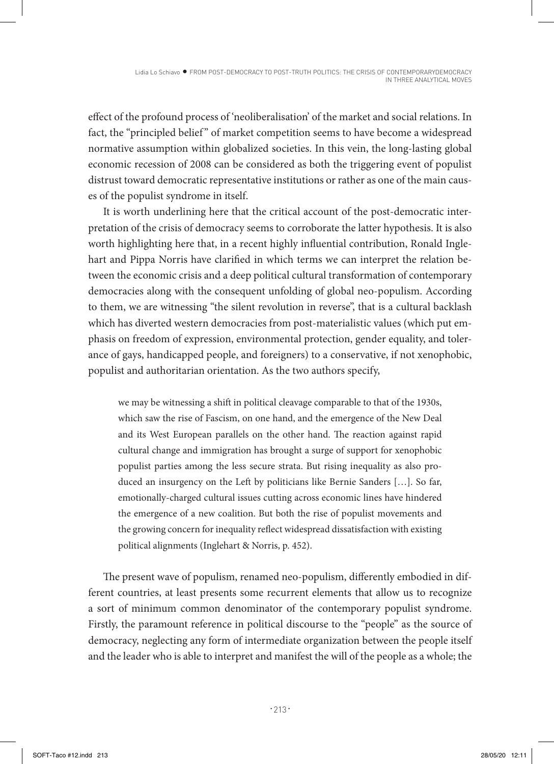effect of the profound process of 'neoliberalisation' of the market and social relations. In fact, the "principled belief" of market competition seems to have become a widespread normative assumption within globalized societies. In this vein, the long-lasting global economic recession of 2008 can be considered as both the triggering event of populist distrust toward democratic representative institutions or rather as one of the main causes of the populist syndrome in itself.

It is worth underlining here that the critical account of the post-democratic interpretation of the crisis of democracy seems to corroborate the latter hypothesis. It is also worth highlighting here that, in a recent highly influential contribution, Ronald Inglehart and Pippa Norris have clarified in which terms we can interpret the relation between the economic crisis and a deep political cultural transformation of contemporary democracies along with the consequent unfolding of global neo-populism. According to them, we are witnessing "the silent revolution in reverse", that is a cultural backlash which has diverted western democracies from post-materialistic values (which put emphasis on freedom of expression, environmental protection, gender equality, and tolerance of gays, handicapped people, and foreigners) to a conservative, if not xenophobic, populist and authoritarian orientation. As the two authors specify,

we may be witnessing a shift in political cleavage comparable to that of the 1930s, which saw the rise of Fascism, on one hand, and the emergence of the New Deal and its West European parallels on the other hand. The reaction against rapid cultural change and immigration has brought a surge of support for xenophobic populist parties among the less secure strata. But rising inequality as also produced an insurgency on the Left by politicians like Bernie Sanders […]. So far, emotionally-charged cultural issues cutting across economic lines have hindered the emergence of a new coalition. But both the rise of populist movements and the growing concern for inequality reflect widespread dissatisfaction with existing political alignments (Inglehart & Norris, p. 452).

The present wave of populism, renamed neo-populism, differently embodied in different countries, at least presents some recurrent elements that allow us to recognize a sort of minimum common denominator of the contemporary populist syndrome. Firstly, the paramount reference in political discourse to the "people" as the source of democracy, neglecting any form of intermediate organization between the people itself and the leader who is able to interpret and manifest the will of the people as a whole; the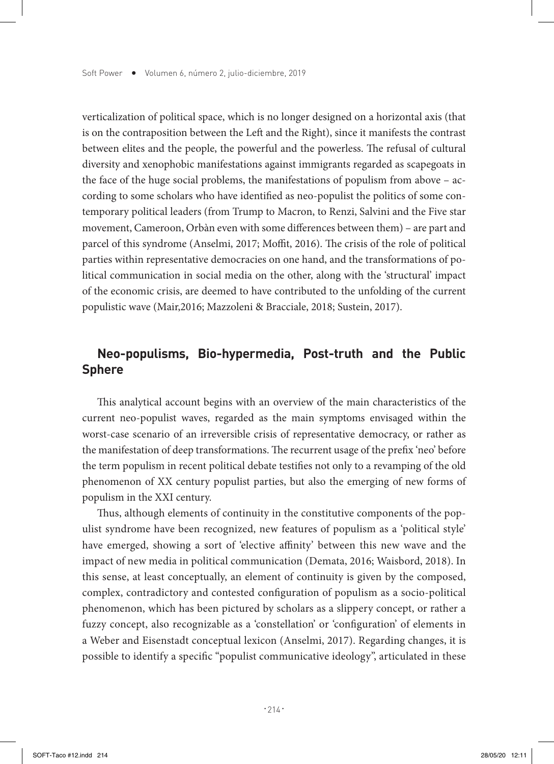verticalization of political space, which is no longer designed on a horizontal axis (that is on the contraposition between the Left and the Right), since it manifests the contrast between elites and the people, the powerful and the powerless. The refusal of cultural diversity and xenophobic manifestations against immigrants regarded as scapegoats in the face of the huge social problems, the manifestations of populism from above – according to some scholars who have identified as neo-populist the politics of some contemporary political leaders (from Trump to Macron, to Renzi, Salvini and the Five star movement, Cameroon, Orbàn even with some differences between them) – are part and parcel of this syndrome (Anselmi, 2017; Moffit, 2016). The crisis of the role of political parties within representative democracies on one hand, and the transformations of political communication in social media on the other, along with the 'structural' impact of the economic crisis, are deemed to have contributed to the unfolding of the current populistic wave (Mair,2016; Mazzoleni & Bracciale, 2018; Sustein, 2017).

# **Neo-populisms, Bio-hypermedia, Post-truth and the Public Sphere**

This analytical account begins with an overview of the main characteristics of the current neo-populist waves, regarded as the main symptoms envisaged within the worst-case scenario of an irreversible crisis of representative democracy, or rather as the manifestation of deep transformations. The recurrent usage of the prefix 'neo' before the term populism in recent political debate testifies not only to a revamping of the old phenomenon of XX century populist parties, but also the emerging of new forms of populism in the XXI century.

Thus, although elements of continuity in the constitutive components of the populist syndrome have been recognized, new features of populism as a 'political style' have emerged, showing a sort of 'elective affinity' between this new wave and the impact of new media in political communication (Demata, 2016; Waisbord, 2018). In this sense, at least conceptually, an element of continuity is given by the composed, complex, contradictory and contested configuration of populism as a socio-political phenomenon, which has been pictured by scholars as a slippery concept, or rather a fuzzy concept, also recognizable as a 'constellation' or 'configuration' of elements in a Weber and Eisenstadt conceptual lexicon (Anselmi, 2017). Regarding changes, it is possible to identify a specific "populist communicative ideology", articulated in these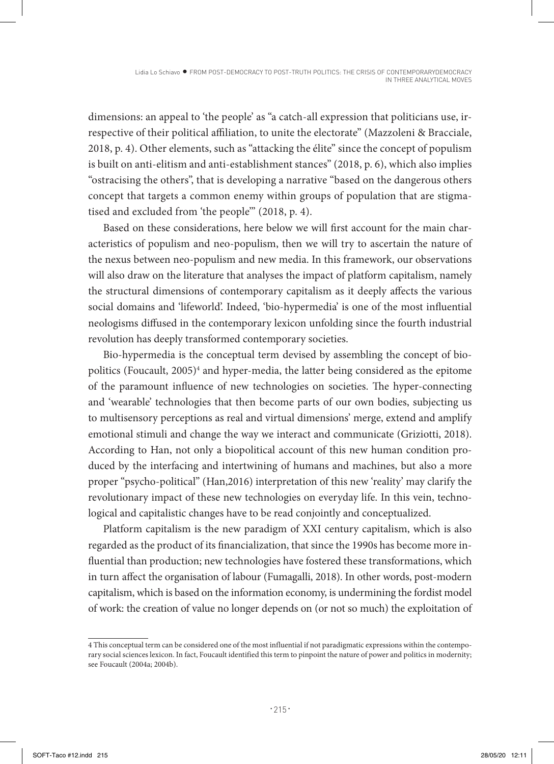dimensions: an appeal to 'the people' as "a catch-all expression that politicians use, irrespective of their political affiliation, to unite the electorate" (Mazzoleni & Bracciale, 2018, p. 4). Other elements, such as "attacking the élite" since the concept of populism is built on anti-elitism and anti-establishment stances" (2018, p. 6), which also implies "ostracising the others", that is developing a narrative "based on the dangerous others concept that targets a common enemy within groups of population that are stigmatised and excluded from 'the people'" (2018, p. 4).

Based on these considerations, here below we will first account for the main characteristics of populism and neo-populism, then we will try to ascertain the nature of the nexus between neo-populism and new media. In this framework, our observations will also draw on the literature that analyses the impact of platform capitalism, namely the structural dimensions of contemporary capitalism as it deeply affects the various social domains and 'lifeworld'. Indeed, 'bio-hypermedia' is one of the most influential neologisms diffused in the contemporary lexicon unfolding since the fourth industrial revolution has deeply transformed contemporary societies.

Bio-hypermedia is the conceptual term devised by assembling the concept of biopolitics (Foucault, 2005)<sup>4</sup> and hyper-media, the latter being considered as the epitome of the paramount influence of new technologies on societies. The hyper-connecting and 'wearable' technologies that then become parts of our own bodies, subjecting us to multisensory perceptions as real and virtual dimensions' merge, extend and amplify emotional stimuli and change the way we interact and communicate (Griziotti, 2018). According to Han, not only a biopolitical account of this new human condition produced by the interfacing and intertwining of humans and machines, but also a more proper "psycho-political" (Han,2016) interpretation of this new 'reality' may clarify the revolutionary impact of these new technologies on everyday life. In this vein, technological and capitalistic changes have to be read conjointly and conceptualized.

Platform capitalism is the new paradigm of XXI century capitalism, which is also regarded as the product of its financialization, that since the 1990s has become more influential than production; new technologies have fostered these transformations, which in turn affect the organisation of labour (Fumagalli, 2018). In other words, post-modern capitalism, which is based on the information economy, is undermining the fordist model of work: the creation of value no longer depends on (or not so much) the exploitation of

<sup>4</sup> This conceptual term can be considered one of the most influential if not paradigmatic expressions within the contemporary social sciences lexicon. In fact, Foucault identified this term to pinpoint the nature of power and politics in modernity; see Foucault (2004a; 2004b).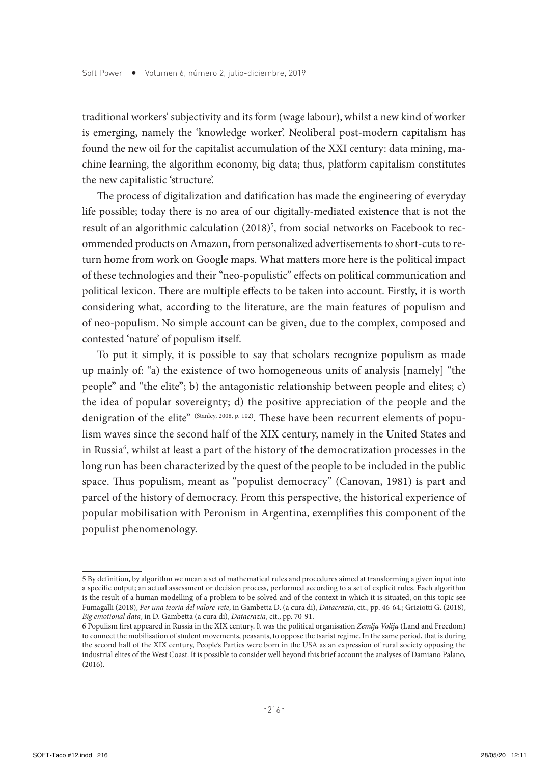traditional workers' subjectivity and its form (wage labour), whilst a new kind of worker is emerging, namely the 'knowledge worker'. Neoliberal post-modern capitalism has found the new oil for the capitalist accumulation of the XXI century: data mining, machine learning, the algorithm economy, big data; thus, platform capitalism constitutes the new capitalistic 'structure'.

The process of digitalization and datification has made the engineering of everyday life possible; today there is no area of our digitally-mediated existence that is not the result of an algorithmic calculation (2018)<sup>5</sup>, from social networks on Facebook to recommended products on Amazon, from personalized advertisements to short-cuts to return home from work on Google maps. What matters more here is the political impact of these technologies and their "neo-populistic" effects on political communication and political lexicon. There are multiple effects to be taken into account. Firstly, it is worth considering what, according to the literature, are the main features of populism and of neo-populism. No simple account can be given, due to the complex, composed and contested 'nature' of populism itself.

To put it simply, it is possible to say that scholars recognize populism as made up mainly of: "a) the existence of two homogeneous units of analysis [namely] "the people" and "the elite"; b) the antagonistic relationship between people and elites; c) the idea of popular sovereignty; d) the positive appreciation of the people and the denigration of the elite" (Stanley, 2008, p. 102). These have been recurrent elements of populism waves since the second half of the XIX century, namely in the United States and in Russia<sup>6</sup>, whilst at least a part of the history of the democratization processes in the long run has been characterized by the quest of the people to be included in the public space. Thus populism, meant as "populist democracy" (Canovan, 1981) is part and parcel of the history of democracy. From this perspective, the historical experience of popular mobilisation with Peronism in Argentina, exemplifies this component of the populist phenomenology.

<sup>5</sup> By definition, by algorithm we mean a set of mathematical rules and procedures aimed at transforming a given input into a specific output; an actual assessment or decision process, performed according to a set of explicit rules. Each algorithm is the result of a human modelling of a problem to be solved and of the context in which it is situated; on this topic see Fumagalli (2018), *Per una teoria del valore-rete*, in Gambetta D. (a cura di), *Datacrazia*, cit., pp. 46-64.; Griziotti G. (2018), *Big emotional data*, in D. Gambetta (a cura di), *Datacrazia*, cit., pp. 70-91.

<sup>6</sup> Populism first appeared in Russia in the XIX century. It was the political organisation *Zemlja Volija* (Land and Freedom) to connect the mobilisation of student movements, peasants, to oppose the tsarist regime. In the same period, that is during the second half of the XIX century, People's Parties were born in the USA as an expression of rural society opposing the industrial elites of the West Coast. It is possible to consider well beyond this brief account the analyses of Damiano Palano, (2016).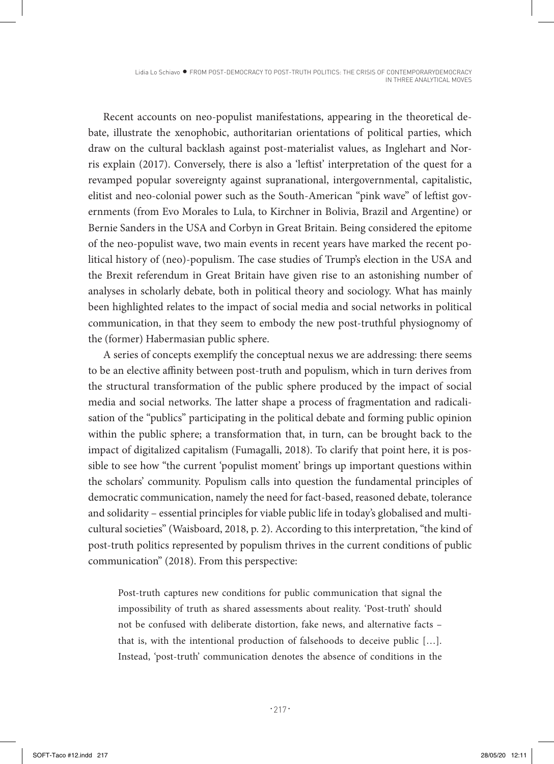Lidia Lo Schiavo · FROM POST-DEMOCRACY TO POST-TRUTH POLITICS: THE CRISIS OF CONTEMPORARYDEMOCRACY IN THREE ANALYTICAL MOVES

Recent accounts on neo-populist manifestations, appearing in the theoretical debate, illustrate the xenophobic, authoritarian orientations of political parties, which draw on the cultural backlash against post-materialist values, as Inglehart and Norris explain (2017). Conversely, there is also a 'leftist' interpretation of the quest for a revamped popular sovereignty against supranational, intergovernmental, capitalistic, elitist and neo-colonial power such as the South-American "pink wave" of leftist governments (from Evo Morales to Lula, to Kirchner in Bolivia, Brazil and Argentine) or Bernie Sanders in the USA and Corbyn in Great Britain. Being considered the epitome of the neo-populist wave, two main events in recent years have marked the recent political history of (neo)-populism. The case studies of Trump's election in the USA and the Brexit referendum in Great Britain have given rise to an astonishing number of analyses in scholarly debate, both in political theory and sociology. What has mainly been highlighted relates to the impact of social media and social networks in political communication, in that they seem to embody the new post-truthful physiognomy of the (former) Habermasian public sphere.

A series of concepts exemplify the conceptual nexus we are addressing: there seems to be an elective affinity between post-truth and populism, which in turn derives from the structural transformation of the public sphere produced by the impact of social media and social networks. The latter shape a process of fragmentation and radicalisation of the "publics" participating in the political debate and forming public opinion within the public sphere; a transformation that, in turn, can be brought back to the impact of digitalized capitalism (Fumagalli, 2018). To clarify that point here, it is possible to see how "the current 'populist moment' brings up important questions within the scholars' community. Populism calls into question the fundamental principles of democratic communication, namely the need for fact-based, reasoned debate, tolerance and solidarity – essential principles for viable public life in today's globalised and multicultural societies" (Waisboard, 2018, p. 2). According to this interpretation, "the kind of post-truth politics represented by populism thrives in the current conditions of public communication" (2018). From this perspective:

Post-truth captures new conditions for public communication that signal the impossibility of truth as shared assessments about reality. 'Post-truth' should not be confused with deliberate distortion, fake news, and alternative facts – that is, with the intentional production of falsehoods to deceive public […]. Instead, 'post-truth' communication denotes the absence of conditions in the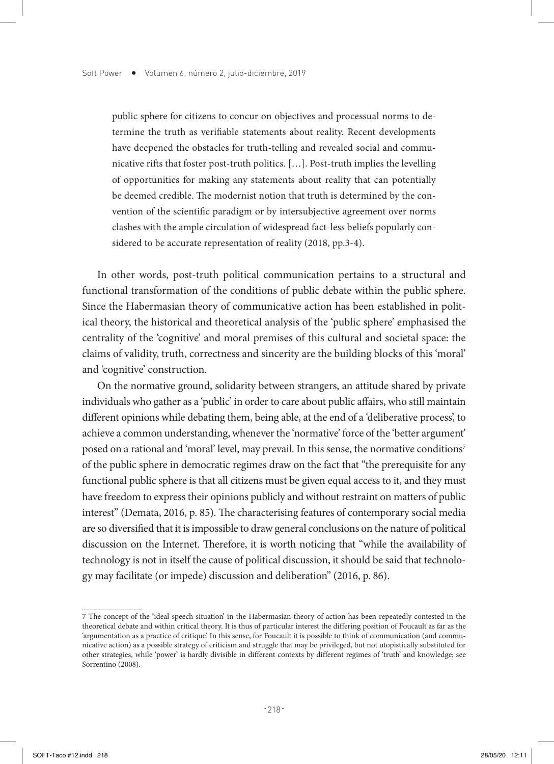public sphere for citizens to concur on objectives and processual norms to determine the truth as verifiable statements about reality. Recent developments have deepened the obstacles for truth-telling and revealed social and communicative rifts that foster post-truth politics. […]. Post-truth implies the levelling of opportunities for making any statements about reality that can potentially be deemed credible. The modernist notion that truth is determined by the convention of the scientific paradigm or by intersubjective agreement over norms clashes with the ample circulation of widespread fact-less beliefs popularly considered to be accurate representation of reality (2018, pp.3-4).

In other words, post-truth political communication pertains to a structural and functional transformation of the conditions of public debate within the public sphere. Since the Habermasian theory of communicative action has been established in political theory, the historical and theoretical analysis of the 'public sphere' emphasised the centrality of the 'cognitive' and moral premises of this cultural and societal space: the claims of validity, truth, correctness and sincerity are the building blocks of this 'moral' and 'cognitive' construction.

On the normative ground, solidarity between strangers, an attitude shared by private individuals who gather as a 'public' in order to care about public affairs, who still maintain different opinions while debating them, being able, at the end of a 'deliberative process', to achieve a common understanding, whenever the 'normative' force of the 'better argument' posed on a rational and 'moral' level, may prevail. In this sense, the normative conditions<sup>7</sup> of the public sphere in democratic regimes draw on the fact that "the prerequisite for any functional public sphere is that all citizens must be given equal access to it, and they must have freedom to express their opinions publicly and without restraint on matters of public interest" (Demata, 2016, p. 85). The characterising features of contemporary social media are so diversified that it is impossible to draw general conclusions on the nature of political discussion on the Internet. Therefore, it is worth noticing that "while the availability of technology is not in itself the cause of political discussion, it should be said that technology may facilitate (or impede) discussion and deliberation" (2016, p. 86).

<sup>7</sup> The concept of the 'ideal speech situation' in the Habermasian theory of action has been repeatedly contested in the theoretical debate and within critical theory. It is thus of particular interest the differing position of Foucault as far as the 'argumentation as a practice of critique'. In this sense, for Foucault it is possible to think of communication (and communicative action) as a possible strategy of criticism and struggle that may be privileged, but not utopistically substituted for other strategies, while 'power' is hardly divisible in different contexts by different regimes of 'truth' and knowledge; see Sorrentino (2008).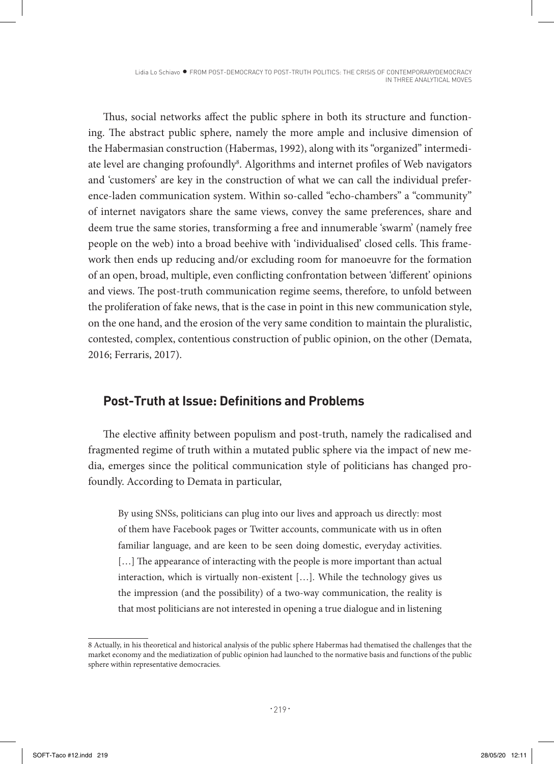Lidia Lo Schiavo · FROM POST-DEMOCRACY TO POST-TRUTH POLITICS: THE CRISIS OF CONTEMPORARYDEMOCRACY IN THREE ANALYTICAL MOVES

Thus, social networks affect the public sphere in both its structure and functioning. The abstract public sphere, namely the more ample and inclusive dimension of the Habermasian construction (Habermas, 1992), along with its "organized" intermediate level are changing profoundly<sup>8</sup>. Algorithms and internet profiles of Web navigators and 'customers' are key in the construction of what we can call the individual preference-laden communication system. Within so-called "echo-chambers" a "community" of internet navigators share the same views, convey the same preferences, share and deem true the same stories, transforming a free and innumerable 'swarm' (namely free people on the web) into a broad beehive with 'individualised' closed cells. This framework then ends up reducing and/or excluding room for manoeuvre for the formation of an open, broad, multiple, even conflicting confrontation between 'different' opinions and views. The post-truth communication regime seems, therefore, to unfold between the proliferation of fake news, that is the case in point in this new communication style, on the one hand, and the erosion of the very same condition to maintain the pluralistic, contested, complex, contentious construction of public opinion, on the other (Demata, 2016; Ferraris, 2017).

## **Post-Truth at Issue: Definitions and Problems**

The elective affinity between populism and post-truth, namely the radicalised and fragmented regime of truth within a mutated public sphere via the impact of new media, emerges since the political communication style of politicians has changed profoundly. According to Demata in particular,

By using SNSs, politicians can plug into our lives and approach us directly: most of them have Facebook pages or Twitter accounts, communicate with us in often familiar language, and are keen to be seen doing domestic, everyday activities. [...] The appearance of interacting with the people is more important than actual interaction, which is virtually non-existent […]. While the technology gives us the impression (and the possibility) of a two-way communication, the reality is that most politicians are not interested in opening a true dialogue and in listening

<sup>8</sup> Actually, in his theoretical and historical analysis of the public sphere Habermas had thematised the challenges that the market economy and the mediatization of public opinion had launched to the normative basis and functions of the public sphere within representative democracies.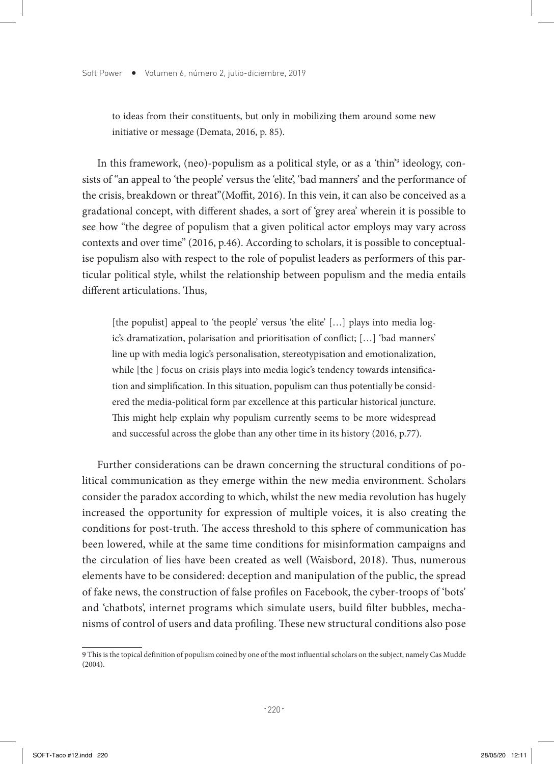to ideas from their constituents, but only in mobilizing them around some new initiative or message (Demata, 2016, p. 85).

In this framework, (neo)-populism as a political style, or as a 'thin'9 ideology, consists of "an appeal to 'the people' versus the 'elite', 'bad manners' and the performance of the crisis, breakdown or threat"(Moffit, 2016). In this vein, it can also be conceived as a gradational concept, with different shades, a sort of 'grey area' wherein it is possible to see how "the degree of populism that a given political actor employs may vary across contexts and over time" (2016, p.46). According to scholars, it is possible to conceptualise populism also with respect to the role of populist leaders as performers of this particular political style, whilst the relationship between populism and the media entails different articulations. Thus,

[the populist] appeal to 'the people' versus 'the elite' [...] plays into media logic's dramatization, polarisation and prioritisation of conflict; […] 'bad manners' line up with media logic's personalisation, stereotypisation and emotionalization, while [the ] focus on crisis plays into media logic's tendency towards intensification and simplification. In this situation, populism can thus potentially be considered the media-political form par excellence at this particular historical juncture. This might help explain why populism currently seems to be more widespread and successful across the globe than any other time in its history (2016, p.77).

Further considerations can be drawn concerning the structural conditions of political communication as they emerge within the new media environment. Scholars consider the paradox according to which, whilst the new media revolution has hugely increased the opportunity for expression of multiple voices, it is also creating the conditions for post-truth. The access threshold to this sphere of communication has been lowered, while at the same time conditions for misinformation campaigns and the circulation of lies have been created as well (Waisbord, 2018). Thus, numerous elements have to be considered: deception and manipulation of the public, the spread of fake news, the construction of false profiles on Facebook, the cyber-troops of 'bots' and 'chatbots', internet programs which simulate users, build filter bubbles, mechanisms of control of users and data profiling. These new structural conditions also pose

<sup>9</sup> This is the topical definition of populism coined by one of the most influential scholars on the subject, namely Cas Mudde (2004).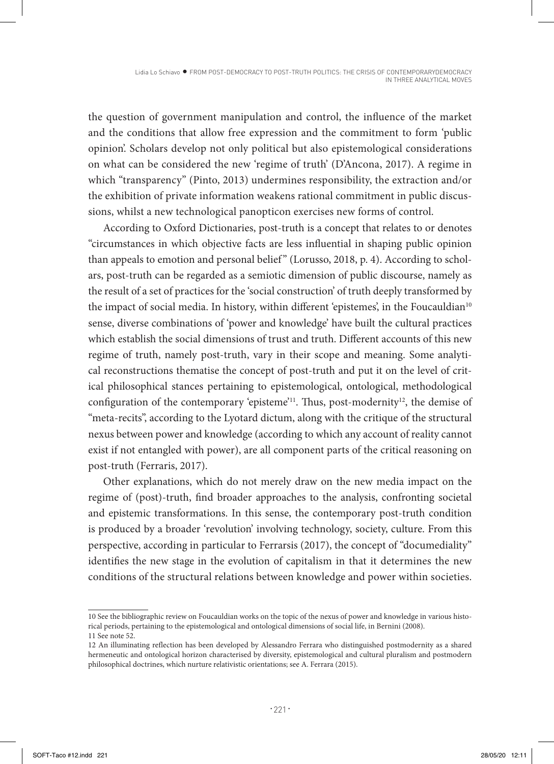the question of government manipulation and control, the influence of the market and the conditions that allow free expression and the commitment to form 'public opinion'. Scholars develop not only political but also epistemological considerations on what can be considered the new 'regime of truth' (D'Ancona, 2017). A regime in which "transparency" (Pinto, 2013) undermines responsibility, the extraction and/or the exhibition of private information weakens rational commitment in public discussions, whilst a new technological panopticon exercises new forms of control.

According to Oxford Dictionaries, post-truth is a concept that relates to or denotes "circumstances in which objective facts are less influential in shaping public opinion than appeals to emotion and personal belief" (Lorusso, 2018, p. 4). According to scholars, post-truth can be regarded as a semiotic dimension of public discourse, namely as the result of a set of practices for the 'social construction' of truth deeply transformed by the impact of social media. In history, within different 'epistemes', in the Foucauldian<sup>10</sup> sense, diverse combinations of 'power and knowledge' have built the cultural practices which establish the social dimensions of trust and truth. Different accounts of this new regime of truth, namely post-truth, vary in their scope and meaning. Some analytical reconstructions thematise the concept of post-truth and put it on the level of critical philosophical stances pertaining to epistemological, ontological, methodological configuration of the contemporary 'episteme'<sup>11</sup>. Thus, post-modernity<sup>12</sup>, the demise of "meta-recits", according to the Lyotard dictum, along with the critique of the structural nexus between power and knowledge (according to which any account of reality cannot exist if not entangled with power), are all component parts of the critical reasoning on post-truth (Ferraris, 2017).

Other explanations, which do not merely draw on the new media impact on the regime of (post)-truth, find broader approaches to the analysis, confronting societal and epistemic transformations. In this sense, the contemporary post-truth condition is produced by a broader 'revolution' involving technology, society, culture. From this perspective, according in particular to Ferrarsis (2017), the concept of "documediality" identifies the new stage in the evolution of capitalism in that it determines the new conditions of the structural relations between knowledge and power within societies.

<sup>10</sup> See the bibliographic review on Foucauldian works on the topic of the nexus of power and knowledge in various historical periods, pertaining to the epistemological and ontological dimensions of social life, in Bernini (2008). 11 See note 52.

<sup>12</sup> An illuminating reflection has been developed by Alessandro Ferrara who distinguished postmodernity as a shared hermeneutic and ontological horizon characterised by diversity, epistemological and cultural pluralism and postmodern philosophical doctrines, which nurture relativistic orientations; see A. Ferrara (2015).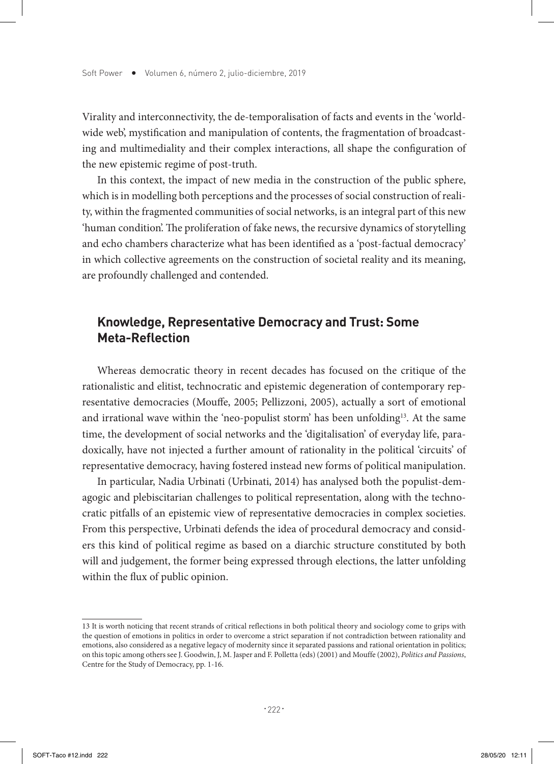Virality and interconnectivity, the de-temporalisation of facts and events in the 'worldwide web', mystification and manipulation of contents, the fragmentation of broadcasting and multimediality and their complex interactions, all shape the configuration of the new epistemic regime of post-truth.

In this context, the impact of new media in the construction of the public sphere, which is in modelling both perceptions and the processes of social construction of reality, within the fragmented communities of social networks, is an integral part of this new 'human condition'. The proliferation of fake news, the recursive dynamics of storytelling and echo chambers characterize what has been identified as a 'post-factual democracy' in which collective agreements on the construction of societal reality and its meaning, are profoundly challenged and contended.

# **Knowledge, Representative Democracy and Trust: Some Meta-Reflection**

Whereas democratic theory in recent decades has focused on the critique of the rationalistic and elitist, technocratic and epistemic degeneration of contemporary representative democracies (Mouffe, 2005; Pellizzoni, 2005), actually a sort of emotional and irrational wave within the 'neo-populist storm' has been unfolding<sup>13</sup>. At the same time, the development of social networks and the 'digitalisation' of everyday life, paradoxically, have not injected a further amount of rationality in the political 'circuits' of representative democracy, having fostered instead new forms of political manipulation.

In particular, Nadia Urbinati (Urbinati, 2014) has analysed both the populist-demagogic and plebiscitarian challenges to political representation, along with the technocratic pitfalls of an epistemic view of representative democracies in complex societies. From this perspective, Urbinati defends the idea of procedural democracy and considers this kind of political regime as based on a diarchic structure constituted by both will and judgement, the former being expressed through elections, the latter unfolding within the flux of public opinion.

<sup>13</sup> It is worth noticing that recent strands of critical reflections in both political theory and sociology come to grips with the question of emotions in politics in order to overcome a strict separation if not contradiction between rationality and emotions, also considered as a negative legacy of modernity since it separated passions and rational orientation in politics; on this topic among others see J. Goodwin, J, M. Jasper and F. Polletta (eds) (2001) and Mouffe (2002), *Politics and Passions*, Centre for the Study of Democracy, pp. 1-16.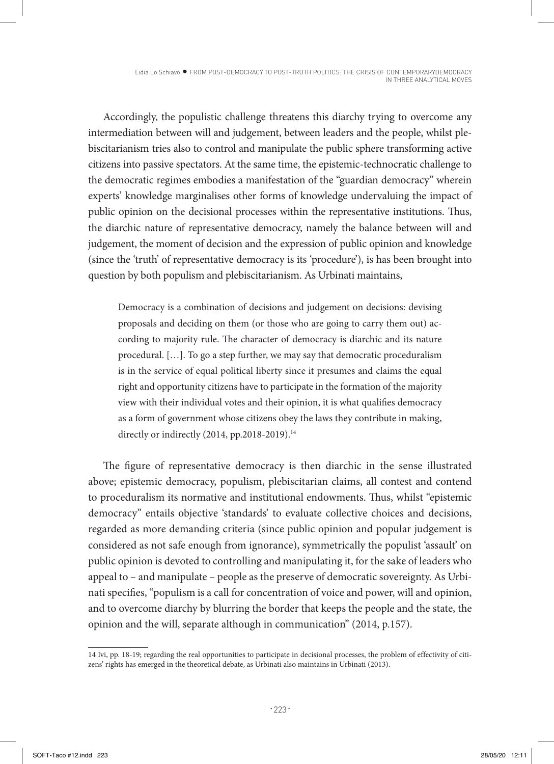Accordingly, the populistic challenge threatens this diarchy trying to overcome any intermediation between will and judgement, between leaders and the people, whilst plebiscitarianism tries also to control and manipulate the public sphere transforming active citizens into passive spectators. At the same time, the epistemic-technocratic challenge to the democratic regimes embodies a manifestation of the "guardian democracy" wherein experts' knowledge marginalises other forms of knowledge undervaluing the impact of public opinion on the decisional processes within the representative institutions. Thus, the diarchic nature of representative democracy, namely the balance between will and judgement, the moment of decision and the expression of public opinion and knowledge (since the 'truth' of representative democracy is its 'procedure'), is has been brought into question by both populism and plebiscitarianism. As Urbinati maintains,

Democracy is a combination of decisions and judgement on decisions: devising proposals and deciding on them (or those who are going to carry them out) according to majority rule. The character of democracy is diarchic and its nature procedural. […]. To go a step further, we may say that democratic proceduralism is in the service of equal political liberty since it presumes and claims the equal right and opportunity citizens have to participate in the formation of the majority view with their individual votes and their opinion, it is what qualifies democracy as a form of government whose citizens obey the laws they contribute in making, directly or indirectly (2014, pp.2018-2019).<sup>14</sup>

The figure of representative democracy is then diarchic in the sense illustrated above; epistemic democracy, populism, plebiscitarian claims, all contest and contend to proceduralism its normative and institutional endowments. Thus, whilst "epistemic democracy" entails objective 'standards' to evaluate collective choices and decisions, regarded as more demanding criteria (since public opinion and popular judgement is considered as not safe enough from ignorance), symmetrically the populist 'assault' on public opinion is devoted to controlling and manipulating it, for the sake of leaders who appeal to – and manipulate – people as the preserve of democratic sovereignty. As Urbinati specifies, "populism is a call for concentration of voice and power, will and opinion, and to overcome diarchy by blurring the border that keeps the people and the state, the opinion and the will, separate although in communication" (2014, p.157).

<sup>14</sup> Ivi, pp. 18-19; regarding the real opportunities to participate in decisional processes, the problem of effectivity of citizens' rights has emerged in the theoretical debate, as Urbinati also maintains in Urbinati (2013).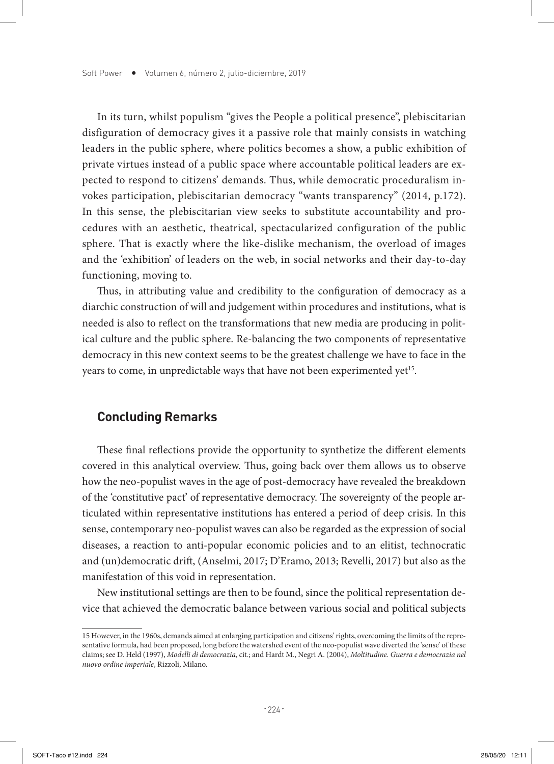In its turn, whilst populism "gives the People a political presence", plebiscitarian disfiguration of democracy gives it a passive role that mainly consists in watching leaders in the public sphere, where politics becomes a show, a public exhibition of private virtues instead of a public space where accountable political leaders are expected to respond to citizens' demands. Thus, while democratic proceduralism invokes participation, plebiscitarian democracy "wants transparency" (2014, p.172). In this sense, the plebiscitarian view seeks to substitute accountability and procedures with an aesthetic, theatrical, spectacularized configuration of the public sphere. That is exactly where the like-dislike mechanism, the overload of images and the 'exhibition' of leaders on the web, in social networks and their day-to-day functioning, moving to.

Thus, in attributing value and credibility to the configuration of democracy as a diarchic construction of will and judgement within procedures and institutions, what is needed is also to reflect on the transformations that new media are producing in political culture and the public sphere. Re-balancing the two components of representative democracy in this new context seems to be the greatest challenge we have to face in the years to come, in unpredictable ways that have not been experimented yet<sup>15</sup>.

### **Concluding Remarks**

These final reflections provide the opportunity to synthetize the different elements covered in this analytical overview. Thus, going back over them allows us to observe how the neo-populist waves in the age of post-democracy have revealed the breakdown of the 'constitutive pact' of representative democracy. The sovereignty of the people articulated within representative institutions has entered a period of deep crisis. In this sense, contemporary neo-populist waves can also be regarded as the expression of social diseases, a reaction to anti-popular economic policies and to an elitist, technocratic and (un)democratic drift, (Anselmi, 2017; D'Eramo, 2013; Revelli, 2017) but also as the manifestation of this void in representation.

New institutional settings are then to be found, since the political representation device that achieved the democratic balance between various social and political subjects

<sup>15</sup> However, in the 1960s, demands aimed at enlarging participation and citizens' rights, overcoming the limits of the representative formula, had been proposed, long before the watershed event of the neo-populist wave diverted the 'sense' of these claims; see D. Held (1997), *Modelli di democrazia*, cit.; and Hardt M., Negri A. (2004), *Moltitudine. Guerra e democrazia nel nuovo ordine imperiale*, Rizzoli, Milano.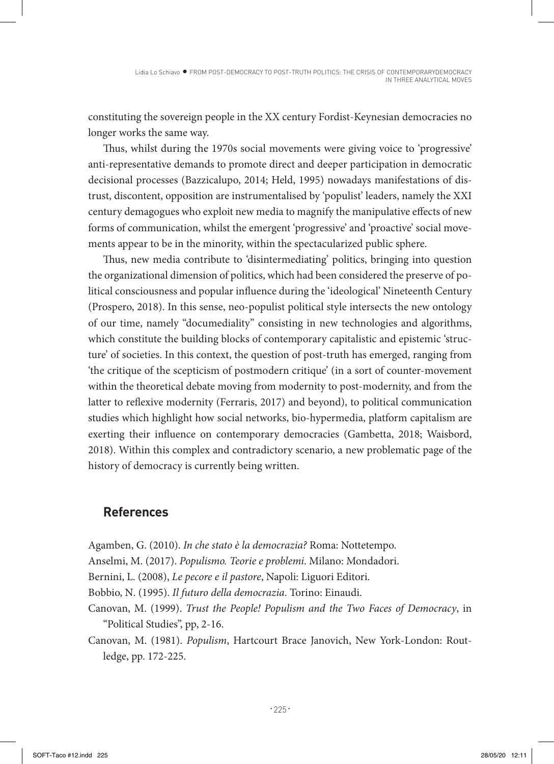constituting the sovereign people in the XX century Fordist-Keynesian democracies no longer works the same way.

Thus, whilst during the 1970s social movements were giving voice to 'progressive' anti-representative demands to promote direct and deeper participation in democratic decisional processes (Bazzicalupo, 2014; Held, 1995) nowadays manifestations of distrust, discontent, opposition are instrumentalised by 'populist' leaders, namely the XXI century demagogues who exploit new media to magnify the manipulative effects of new forms of communication, whilst the emergent 'progressive' and 'proactive' social movements appear to be in the minority, within the spectacularized public sphere.

Thus, new media contribute to 'disintermediating' politics, bringing into question the organizational dimension of politics, which had been considered the preserve of political consciousness and popular influence during the 'ideological' Nineteenth Century (Prospero, 2018). In this sense, neo-populist political style intersects the new ontology of our time, namely "documediality" consisting in new technologies and algorithms, which constitute the building blocks of contemporary capitalistic and epistemic 'structure' of societies. In this context, the question of post-truth has emerged, ranging from 'the critique of the scepticism of postmodern critique' (in a sort of counter-movement within the theoretical debate moving from modernity to post-modernity, and from the latter to reflexive modernity (Ferraris, 2017) and beyond), to political communication studies which highlight how social networks, bio-hypermedia, platform capitalism are exerting their influence on contemporary democracies (Gambetta, 2018; Waisbord, 2018). Within this complex and contradictory scenario, a new problematic page of the history of democracy is currently being written.

## **References**

Agamben, G. (2010). *In che stato è la democrazia?* Roma: Nottetempo.

Anselmi, M. (2017). *Populismo. Teorie e problemi*. Milano: Mondadori.

- Bernini, L. (2008), *Le pecore e il pastore*, Napoli: Liguori Editori.
- Bobbio, N. (1995). *Il futuro della democrazia*. Torino: Einaudi.
- Canovan, M. (1999). *Trust the People! Populism and the Two Faces of Democracy*, in "Political Studies", pp, 2-16.
- Canovan, M. (1981). *Populism*, Hartcourt Brace Janovich, New York-London: Routledge, pp. 172-225.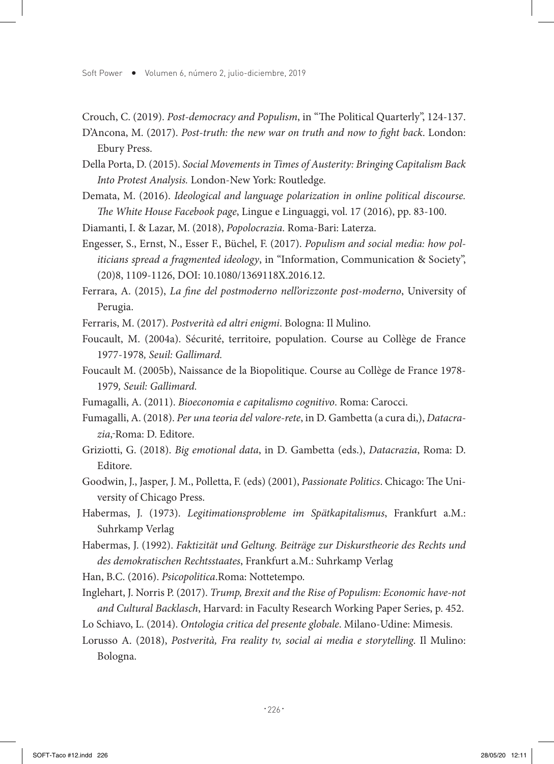Soft Power • Volumen 6, número 2, julio-diciembre, 2019

Crouch, C. (2019). *Post-democracy and Populism*, in "The Political Quarterly", 124-137.

D'Ancona, M. (2017). *Post-truth: the new war on truth and now to fight back*. London: Ebury Press.

Della Porta, D. (2015). *Social Movements in Times of Austerity: Bringing Capitalism Back Into Protest Analysis.* London-New York: Routledge.

Demata, M. (2016). *Ideological and language polarization in online political discourse. The White House Facebook page*, Lingue e Linguaggi, vol. 17 (2016), pp. 83-100.

Diamanti, I. & Lazar, M. (2018), *Popolocrazia*. Roma-Bari: Laterza.

Engesser, S., Ernst, N., Esser F., Büchel, F. (2017). *Populism and social media: how politicians spread a fragmented ideology*, in "Information, Communication & Society", (20)8, 1109-1126, DOI: 10.1080/1369118X.2016.12.

Ferrara, A. (2015), *La fine del postmoderno nell'orizzonte post-moderno*, University of Perugia.

Ferraris, M. (2017). *Postverità ed altri enigmi*. Bologna: Il Mulino.

Foucault, M. (2004a). Sécurité, territoire, population. Course au Collège de France 1977-1978*, Seuil: Gallimard.* 

Foucault M. (2005b), Naissance de la Biopolitique. Course au Collège de France 1978- 1979*, Seuil: Gallimard.* 

- Fumagalli, A. (2011). *Bioeconomia e capitalismo cognitivo*. Roma: Carocci.
- Fumagalli, A. (2018). *Per una teoria del valore-rete*, in D. Gambetta (a cura di,), *Datacrazia*, Roma: D. Editore.
- Griziotti, G. (2018). *Big emotional data*, in D. Gambetta (eds.), *Datacrazia*, Roma: D. Editore.
- Goodwin, J., Jasper, J. M., Polletta, F. (eds) (2001), *Passionate Politics*. Chicago: The University of Chicago Press.
- Habermas, J. (1973). *Legitimationsprobleme im Spätkapitalismus*, Frankfurt a.M.: Suhrkamp Verlag
- Habermas, J. (1992). *Faktizität und Geltung. Beiträge zur Diskurstheorie des Rechts und des demokratischen Rechtsstaates*, Frankfurt a.M.: Suhrkamp Verlag

Han, B.C. (2016). *Psicopolitica*.Roma: Nottetempo.

- Inglehart, J. Norris P. (2017). *Trump, Brexit and the Rise of Populism: Economic have-not and Cultural Backlasch*, Harvard: in Faculty Research Working Paper Series, p. 452.
- Lo Schiavo, L. (2014). *Ontologia critica del presente globale*. Milano-Udine: Mimesis.

Lorusso A. (2018), *Postverità, Fra reality tv, social ai media e storytelling*. Il Mulino: Bologna.